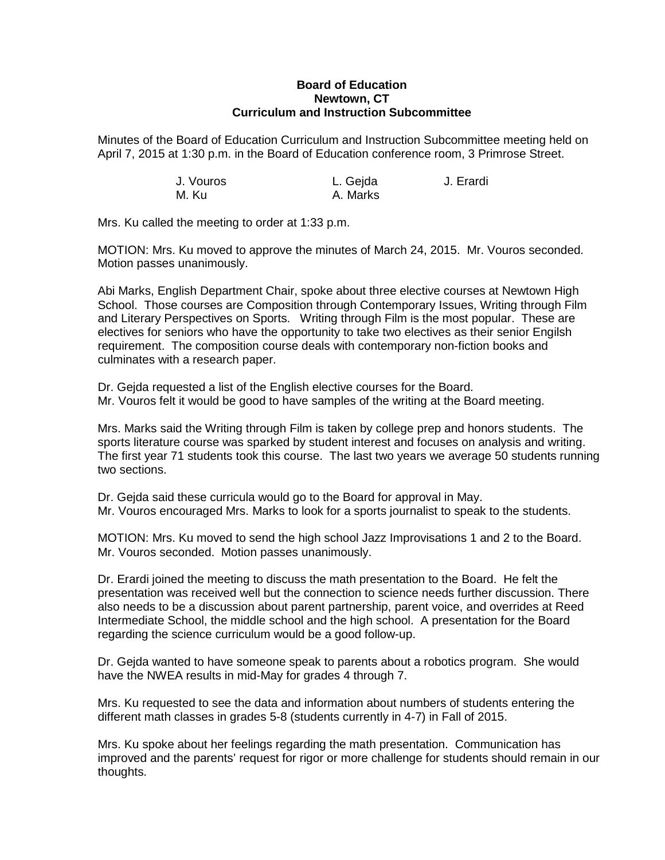## **Board of Education Newtown, CT Curriculum and Instruction Subcommittee**

Minutes of the Board of Education Curriculum and Instruction Subcommittee meeting held on April 7, 2015 at 1:30 p.m. in the Board of Education conference room, 3 Primrose Street.

| J. Vouros | L. Gejda | J. Erardi |
|-----------|----------|-----------|
| M. Ku     | A. Marks |           |

Mrs. Ku called the meeting to order at 1:33 p.m.

MOTION: Mrs. Ku moved to approve the minutes of March 24, 2015. Mr. Vouros seconded. Motion passes unanimously.

Abi Marks, English Department Chair, spoke about three elective courses at Newtown High School. Those courses are Composition through Contemporary Issues, Writing through Film and Literary Perspectives on Sports. Writing through Film is the most popular. These are electives for seniors who have the opportunity to take two electives as their senior Engilsh requirement. The composition course deals with contemporary non-fiction books and culminates with a research paper.

Dr. Gejda requested a list of the English elective courses for the Board. Mr. Vouros felt it would be good to have samples of the writing at the Board meeting.

Mrs. Marks said the Writing through Film is taken by college prep and honors students. The sports literature course was sparked by student interest and focuses on analysis and writing. The first year 71 students took this course. The last two years we average 50 students running two sections.

Dr. Gejda said these curricula would go to the Board for approval in May. Mr. Vouros encouraged Mrs. Marks to look for a sports journalist to speak to the students.

MOTION: Mrs. Ku moved to send the high school Jazz Improvisations 1 and 2 to the Board. Mr. Vouros seconded. Motion passes unanimously.

Dr. Erardi joined the meeting to discuss the math presentation to the Board. He felt the presentation was received well but the connection to science needs further discussion. There also needs to be a discussion about parent partnership, parent voice, and overrides at Reed Intermediate School, the middle school and the high school. A presentation for the Board regarding the science curriculum would be a good follow-up.

Dr. Gejda wanted to have someone speak to parents about a robotics program. She would have the NWEA results in mid-May for grades 4 through 7.

Mrs. Ku requested to see the data and information about numbers of students entering the different math classes in grades 5-8 (students currently in 4-7) in Fall of 2015.

Mrs. Ku spoke about her feelings regarding the math presentation. Communication has improved and the parents' request for rigor or more challenge for students should remain in our thoughts.